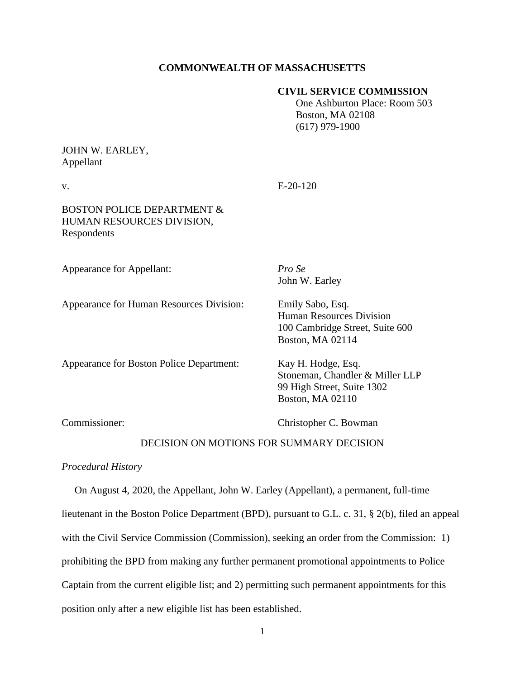## **COMMONWEALTH OF MASSACHUSETTS**

### **CIVIL SERVICE COMMISSION**

 One Ashburton Place: Room 503 Boston, MA 02108 (617) 979-1900

# JOHN W. EARLEY, Appellant

 $V = E-20-120$ 

# BOSTON POLICE DEPARTMENT & HUMAN RESOURCES DIVISION, Respondents

Appearance for Appellant: *Pro Se*

John W. Earley

Appearance for Human Resources Division: Emily Sabo, Esq.

Human Resources Division 100 Cambridge Street, Suite 600 Boston, MA 02114

Appearance for Boston Police Department: Kay H. Hodge, Esq.

Stoneman, Chandler & Miller LLP 99 High Street, Suite 1302 Boston, MA 02110

Commissioner: Christopher C. Bowman

## DECISION ON MOTIONS FOR SUMMARY DECISION

### *Procedural History*

 On August 4, 2020, the Appellant, John W. Earley (Appellant), a permanent, full-time lieutenant in the Boston Police Department (BPD), pursuant to G.L. c. 31, § 2(b), filed an appeal with the Civil Service Commission (Commission), seeking an order from the Commission: 1) prohibiting the BPD from making any further permanent promotional appointments to Police Captain from the current eligible list; and 2) permitting such permanent appointments for this position only after a new eligible list has been established.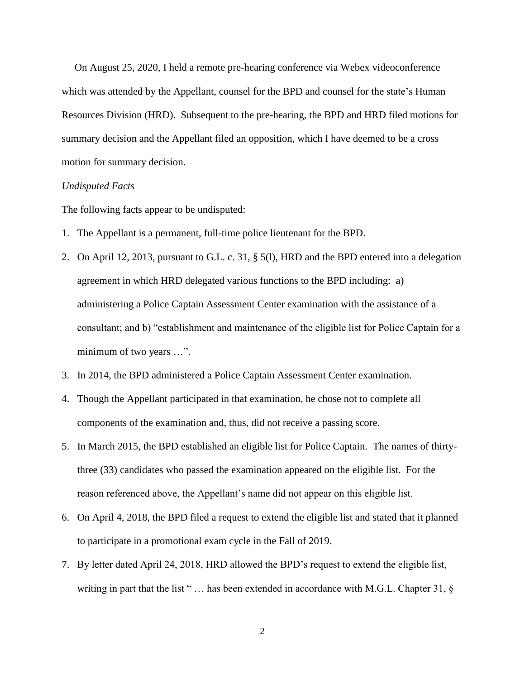On August 25, 2020, I held a remote pre-hearing conference via Webex videoconference which was attended by the Appellant, counsel for the BPD and counsel for the state's Human Resources Division (HRD). Subsequent to the pre-hearing, the BPD and HRD filed motions for summary decision and the Appellant filed an opposition, which I have deemed to be a cross motion for summary decision.

#### *Undisputed Facts*

The following facts appear to be undisputed:

- 1. The Appellant is a permanent, full-time police lieutenant for the BPD.
- 2. On April 12, 2013, pursuant to G.L. c. 31, § 5(l), HRD and the BPD entered into a delegation agreement in which HRD delegated various functions to the BPD including: a) administering a Police Captain Assessment Center examination with the assistance of a consultant; and b) "establishment and maintenance of the eligible list for Police Captain for a minimum of two years ...".
- 3. In 2014, the BPD administered a Police Captain Assessment Center examination.
- 4. Though the Appellant participated in that examination, he chose not to complete all components of the examination and, thus, did not receive a passing score.
- 5. In March 2015, the BPD established an eligible list for Police Captain. The names of thirtythree (33) candidates who passed the examination appeared on the eligible list. For the reason referenced above, the Appellant's name did not appear on this eligible list.
- 6. On April 4, 2018, the BPD filed a request to extend the eligible list and stated that it planned to participate in a promotional exam cycle in the Fall of 2019.
- 7. By letter dated April 24, 2018, HRD allowed the BPD's request to extend the eligible list, writing in part that the list "... has been extended in accordance with M.G.L. Chapter 31, §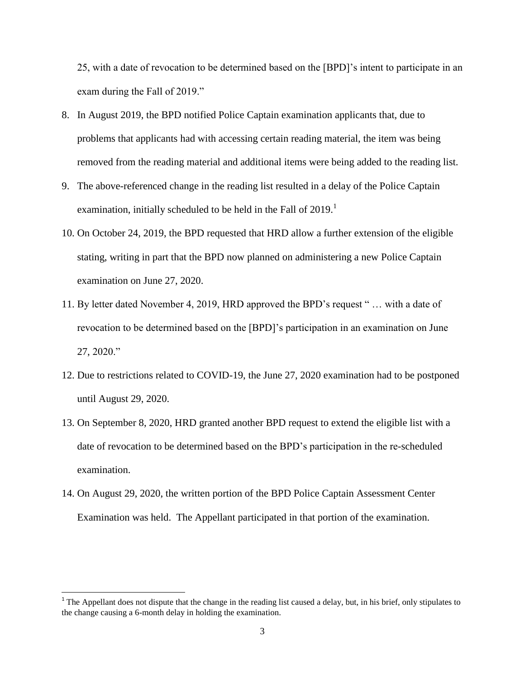25, with a date of revocation to be determined based on the [BPD]'s intent to participate in an exam during the Fall of 2019."

- 8. In August 2019, the BPD notified Police Captain examination applicants that, due to problems that applicants had with accessing certain reading material, the item was being removed from the reading material and additional items were being added to the reading list.
- 9. The above-referenced change in the reading list resulted in a delay of the Police Captain examination, initially scheduled to be held in the Fall of  $2019$ <sup>1</sup>
- 10. On October 24, 2019, the BPD requested that HRD allow a further extension of the eligible stating, writing in part that the BPD now planned on administering a new Police Captain examination on June 27, 2020.
- 11. By letter dated November 4, 2019, HRD approved the BPD's request " … with a date of revocation to be determined based on the [BPD]'s participation in an examination on June 27, 2020."
- 12. Due to restrictions related to COVID-19, the June 27, 2020 examination had to be postponed until August 29, 2020.
- 13. On September 8, 2020, HRD granted another BPD request to extend the eligible list with a date of revocation to be determined based on the BPD's participation in the re-scheduled examination.
- 14. On August 29, 2020, the written portion of the BPD Police Captain Assessment Center Examination was held. The Appellant participated in that portion of the examination.

<sup>&</sup>lt;sup>1</sup> The Appellant does not dispute that the change in the reading list caused a delay, but, in his brief, only stipulates to the change causing a 6-month delay in holding the examination.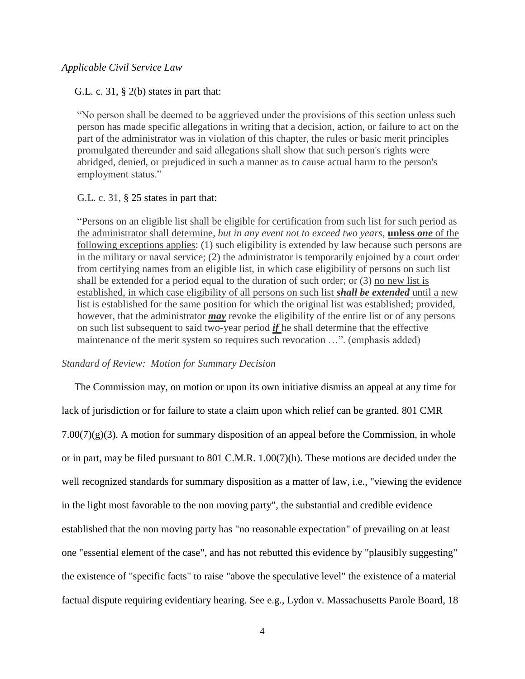### *Applicable Civil Service Law*

G.L. c. 31, § 2(b) states in part that:

"No person shall be deemed to be aggrieved under the provisions of this section unless such person has made specific allegations in writing that a decision, action, or failure to act on the part of the administrator was in violation of this chapter, the rules or basic merit principles promulgated thereunder and said allegations shall show that such person's rights were abridged, denied, or prejudiced in such a manner as to cause actual harm to the person's employment status."

### G.L. c. 31, § 25 states in part that:

"Persons on an eligible list shall be eligible for certification from such list for such period as the administrator shall determine, *but in any event not to exceed two years*, **unless** *one* of the following exceptions applies: (1) such eligibility is extended by law because such persons are in the military or naval service; (2) the administrator is temporarily enjoined by a court order from certifying names from an eligible list, in which case eligibility of persons on such list shall be extended for a period equal to the duration of such order; or (3) no new list is established, in which case eligibility of all persons on such list *shall be extended* until a new list is established for the same position for which the original list was established; provided, however, that the administrator *may* revoke the eligibility of the entire list or of any persons on such list subsequent to said two-year period *if* he shall determine that the effective maintenance of the merit system so requires such revocation …". (emphasis added)

### *Standard of Review: Motion for Summary Decision*

 The Commission may, on motion or upon its own initiative dismiss an appeal at any time for lack of jurisdiction or for failure to state a claim upon which relief can be granted. 801 CMR  $7.00(7)(g)(3)$ . A motion for summary disposition of an appeal before the Commission, in whole or in part, may be filed pursuant to 801 C.M.R. 1.00(7)(h). These motions are decided under the well recognized standards for summary disposition as a matter of law, i.e., "viewing the evidence in the light most favorable to the non moving party", the substantial and credible evidence established that the non moving party has "no reasonable expectation" of prevailing on at least one "essential element of the case", and has not rebutted this evidence by "plausibly suggesting" the existence of "specific facts" to raise "above the speculative level" the existence of a material factual dispute requiring evidentiary hearing. See e.g., Lydon v. Massachusetts Parole Board, 18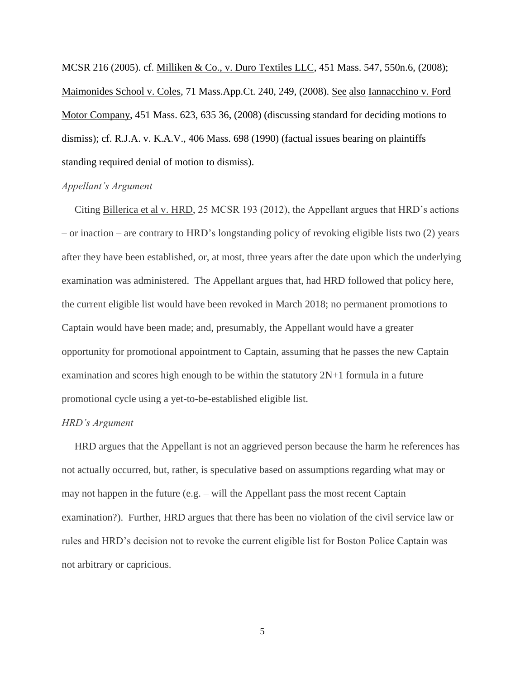MCSR 216 (2005). cf. Milliken & Co., v. Duro Textiles LLC, [451 Mass. 547,](http://sll.gvpi.net/document.php?field=jd&value=sjcapp:451_mass._547) 550n.6, (2008); Maimonides School v. Coles, 71 Mass.App.Ct. 240, 249, (2008). See also Iannacchino v. Ford Motor Company, [451 Mass. 623,](http://sll.gvpi.net/document.php?field=jd&value=sjcapp:451_mass._623) 635 36, (2008) (discussing standard for deciding motions to dismiss); cf. R.J.A. v. K.A.V., [406 Mass. 698](http://sll.gvpi.net/document.php?field=jd&value=sjcapp:406_mass._698) (1990) (factual issues bearing on plaintiffs standing required denial of motion to dismiss).

#### *Appellant's Argument*

 Citing Billerica et al v. HRD, 25 MCSR 193 (2012), the Appellant argues that HRD's actions – or inaction – are contrary to HRD's longstanding policy of revoking eligible lists two (2) years after they have been established, or, at most, three years after the date upon which the underlying examination was administered. The Appellant argues that, had HRD followed that policy here, the current eligible list would have been revoked in March 2018; no permanent promotions to Captain would have been made; and, presumably, the Appellant would have a greater opportunity for promotional appointment to Captain, assuming that he passes the new Captain examination and scores high enough to be within the statutory 2N+1 formula in a future promotional cycle using a yet-to-be-established eligible list.

### *HRD's Argument*

 HRD argues that the Appellant is not an aggrieved person because the harm he references has not actually occurred, but, rather, is speculative based on assumptions regarding what may or may not happen in the future (e.g. – will the Appellant pass the most recent Captain examination?). Further, HRD argues that there has been no violation of the civil service law or rules and HRD's decision not to revoke the current eligible list for Boston Police Captain was not arbitrary or capricious.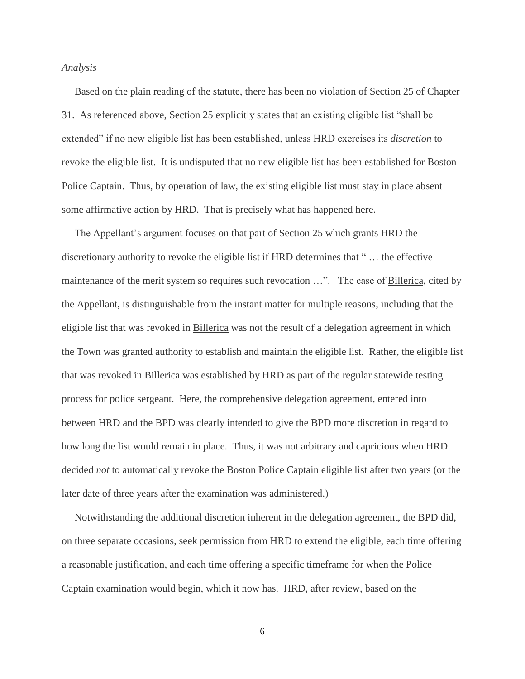#### *Analysis*

Based on the plain reading of the statute, there has been no violation of Section 25 of Chapter 31. As referenced above, Section 25 explicitly states that an existing eligible list "shall be extended" if no new eligible list has been established, unless HRD exercises its *discretion* to revoke the eligible list. It is undisputed that no new eligible list has been established for Boston Police Captain. Thus, by operation of law, the existing eligible list must stay in place absent some affirmative action by HRD. That is precisely what has happened here.

 The Appellant's argument focuses on that part of Section 25 which grants HRD the discretionary authority to revoke the eligible list if HRD determines that " … the effective maintenance of the merit system so requires such revocation ...". The case of Billerica, cited by the Appellant, is distinguishable from the instant matter for multiple reasons, including that the eligible list that was revoked in Billerica was not the result of a delegation agreement in which the Town was granted authority to establish and maintain the eligible list. Rather, the eligible list that was revoked in Billerica was established by HRD as part of the regular statewide testing process for police sergeant. Here, the comprehensive delegation agreement, entered into between HRD and the BPD was clearly intended to give the BPD more discretion in regard to how long the list would remain in place. Thus, it was not arbitrary and capricious when HRD decided *not* to automatically revoke the Boston Police Captain eligible list after two years (or the later date of three years after the examination was administered.)

 Notwithstanding the additional discretion inherent in the delegation agreement, the BPD did, on three separate occasions, seek permission from HRD to extend the eligible, each time offering a reasonable justification, and each time offering a specific timeframe for when the Police Captain examination would begin, which it now has. HRD, after review, based on the

6